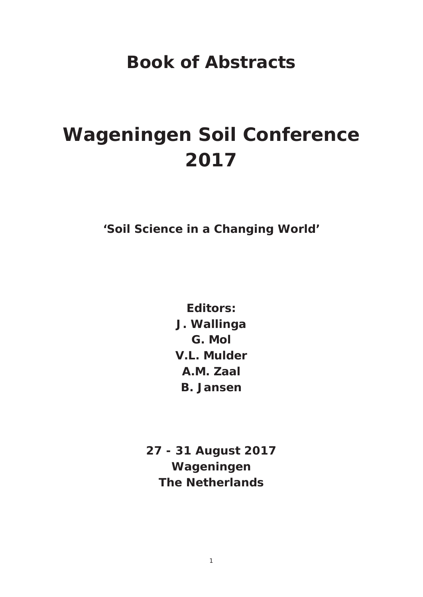## **Book of Abstracts**

## **Wageningen Soil Conference 2017**

**'Soil Science in a Changing World'** 

**Editors: J. Wallinga G. Mol V.L. Mulder A.M. Zaal B. Jansen**

**27 - 31 August 2017 Wageningen The Netherlands**

1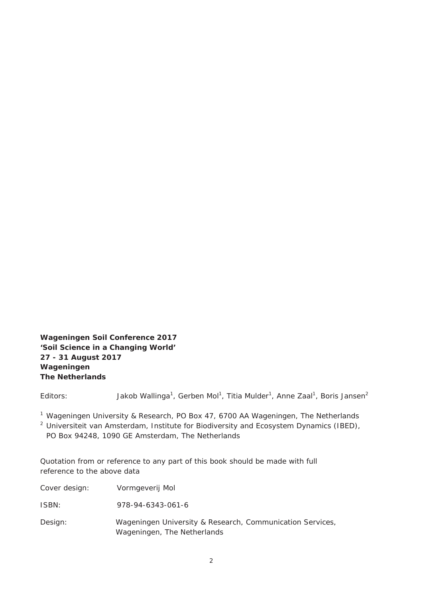**Wageningen Soil Conference 2017 'Soil Science in a Changing World' 27 - 31 August 2017 Wageningen The Netherlands** 

Editors: Jakob Wallinga<sup>1</sup>, Gerben Mol<sup>1</sup>, Titia Mulder<sup>1</sup>, Anne Zaal<sup>1</sup>, Boris Jansen<sup>2</sup>

<sup>1</sup> Wageningen University & Research, PO Box 47, 6700 AA Wageningen, The Netherlands

<sup>2</sup> Universiteit van Amsterdam, Institute for Biodiversity and Ecosystem Dynamics (IBED), PO Box 94248, 1090 GE Amsterdam, The Netherlands

Quotation from or reference to any part of this book should be made with full reference to the above data

| Cover design: | Vormgeverij Mol                                                                          |
|---------------|------------------------------------------------------------------------------------------|
| ISBN:         | 978-94-6343-061-6                                                                        |
| Design:       | Wageningen University & Research, Communication Services,<br>Wageningen, The Netherlands |